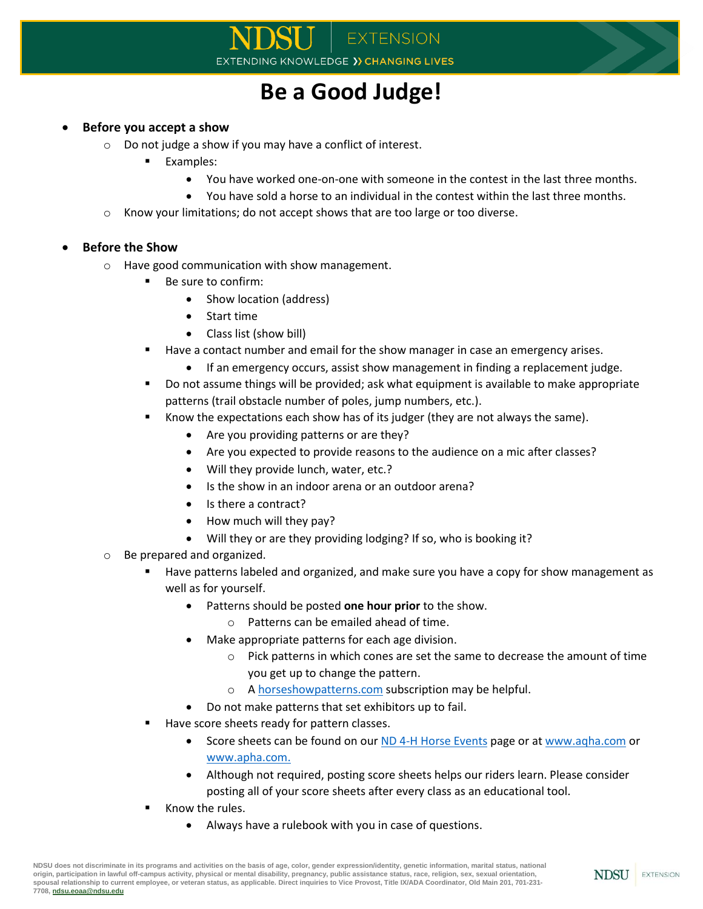## **Be a Good Judge!**

## **Before you accept a show**

- o Do not judge a show if you may have a conflict of interest.
	- **Examples:** 
		- You have worked one-on-one with someone in the contest in the last three months.
		- You have sold a horse to an individual in the contest within the last three months.
- o Know your limitations; do not accept shows that are too large or too diverse.

## **Before the Show**

- o Have good communication with show management.
	- Be sure to confirm:
		- Show location (address)
		- Start time
		- Class list (show bill)
	- Have a contact number and email for the show manager in case an emergency arises.
		- If an emergency occurs, assist show management in finding a replacement judge.
	- Do not assume things will be provided; ask what equipment is available to make appropriate patterns (trail obstacle number of poles, jump numbers, etc.).
	- Know the expectations each show has of its judger (they are not always the same).
		- Are you providing patterns or are they?
		- Are you expected to provide reasons to the audience on a mic after classes?
		- Will they provide lunch, water, etc.?
		- Is the show in an indoor arena or an outdoor arena?
		- Is there a contract?
		- How much will they pay?
		- Will they or are they providing lodging? If so, who is booking it?
- o Be prepared and organized.
	- Have patterns labeled and organized, and make sure you have a copy for show management as well as for yourself.
		- Patterns should be posted **one hour prior** to the show.
			- o Patterns can be emailed ahead of time.
			- Make appropriate patterns for each age division.
				- o Pick patterns in which cones are set the same to decrease the amount of time you get up to change the pattern.
				- o A [horseshowpatterns.com](https://horseshowpatterns.com/) subscription may be helpful.
		- Do not make patterns that set exhibitors up to fail.
	- Have score sheets ready for pattern classes.
		- Score sheets can be found on ou[r ND 4-H Horse Events](https://www.ndsu.edu/4h/member_information/programs_events/state_4_h_contests/horse_events/) page or at [www.aqha.com](http://www.aqha.com/) or [www.apha.com.](http://www.apha.com/)
		- Although not required, posting score sheets helps our riders learn. Please consider posting all of your score sheets after every class as an educational tool.
	- Know the rules.
		- Always have a rulebook with you in case of questions.

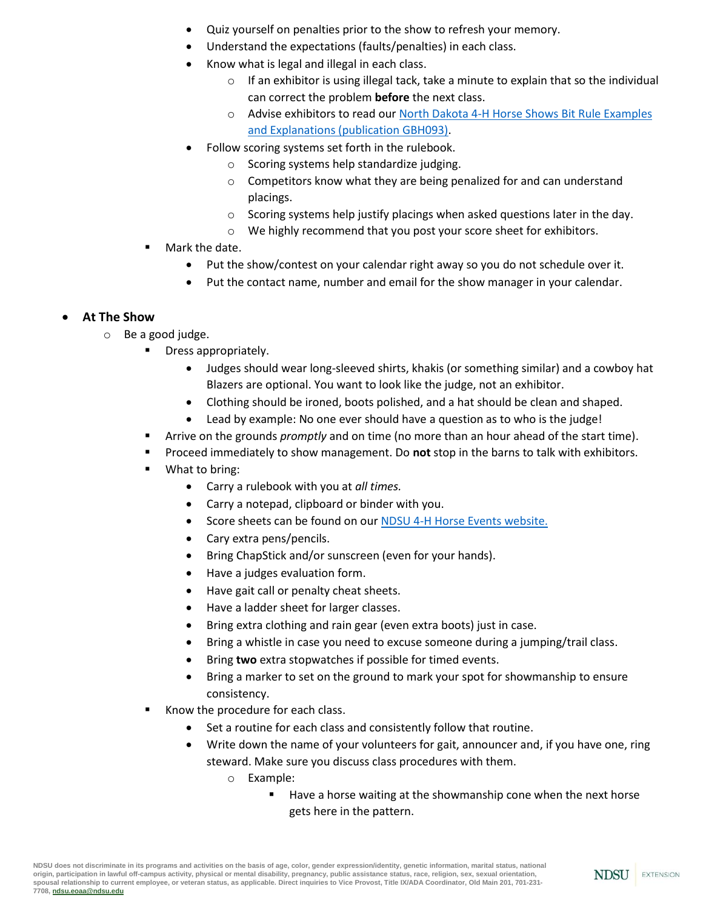- Quiz yourself on penalties prior to the show to refresh your memory.
- Understand the expectations (faults/penalties) in each class.
- Know what is legal and illegal in each class.
	- $\circ$  If an exhibitor is using illegal tack, take a minute to explain that so the individual can correct the problem **before** the next class.
	- o Advise exhibitors to read ou[r North Dakota 4-H Horse Shows Bit Rule Examples](https://www.ndsu.edu/fileadmin/4h/Projects/GBH093_Bit_Rule_Examples_and_Explanations_2019.pdf)  [and Explanations \(publication GBH093\).](https://www.ndsu.edu/fileadmin/4h/Projects/GBH093_Bit_Rule_Examples_and_Explanations_2019.pdf)
- Follow scoring systems set forth in the rulebook.
	- o Scoring systems help standardize judging.
	- $\circ$  Competitors know what they are being penalized for and can understand placings.
	- $\circ$  Scoring systems help justify placings when asked questions later in the day.
	- $\circ$  We highly recommend that you post your score sheet for exhibitors.
- Mark the date.
	- Put the show/contest on your calendar right away so you do not schedule over it.
	- Put the contact name, number and email for the show manager in your calendar.

## **At The Show**

- o Be a good judge.
	- Dress appropriately.
		- Judges should wear long-sleeved shirts, khakis (or something similar) and a cowboy hat Blazers are optional. You want to look like the judge, not an exhibitor.
		- Clothing should be ironed, boots polished, and a hat should be clean and shaped.
		- Lead by example: No one ever should have a question as to who is the judge!
	- Arrive on the grounds *promptly* and on time (no more than an hour ahead of the start time).
	- Proceed immediately to show management. Do **not** stop in the barns to talk with exhibitors.
	- What to bring:
		- Carry a rulebook with you at *all times.*
		- Carry a notepad, clipboard or binder with you.
		- Score sheets can be found on ou[r NDSU 4-H Horse Events website.](https://www.ndsu.edu/4h/member_information/programs_events/state_4_h_contests/horse_events/)
		- Cary extra pens/pencils.
		- Bring ChapStick and/or sunscreen (even for your hands).
		- Have a judges evaluation form.
		- Have gait call or penalty cheat sheets.
		- Have a ladder sheet for larger classes.
		- Bring extra clothing and rain gear (even extra boots) just in case.
		- Bring a whistle in case you need to excuse someone during a jumping/trail class.
		- Bring **two** extra stopwatches if possible for timed events.
		- Bring a marker to set on the ground to mark your spot for showmanship to ensure consistency.
	- Know the procedure for each class.
		- Set a routine for each class and consistently follow that routine.
		- Write down the name of your volunteers for gait, announcer and, if you have one, ring steward. Make sure you discuss class procedures with them.
			- o Example:
				- Have a horse waiting at the showmanship cone when the next horse gets here in the pattern.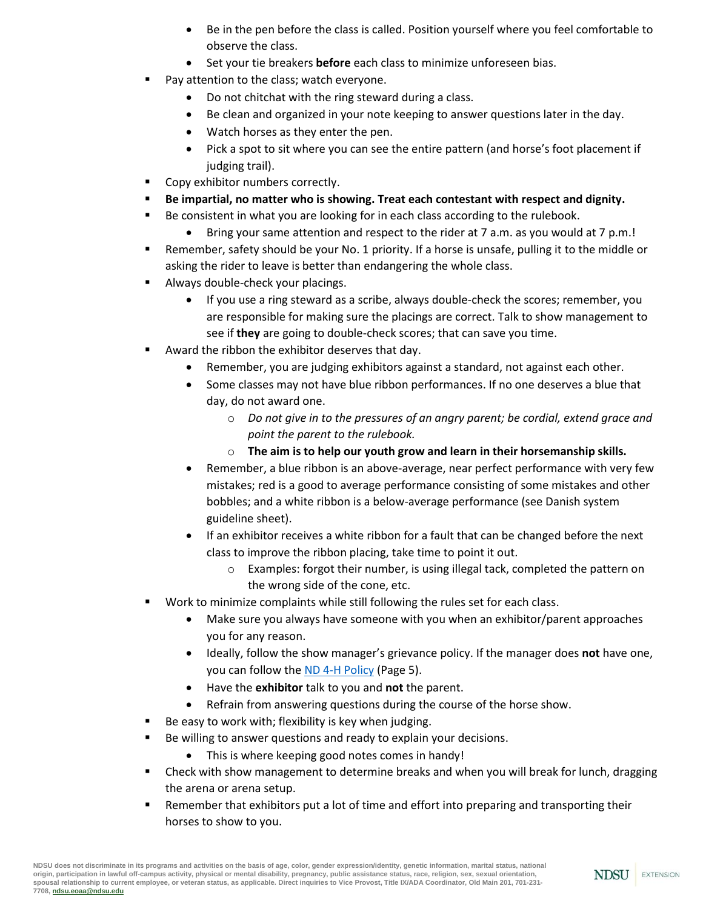- Be in the pen before the class is called. Position yourself where you feel comfortable to observe the class.
- Set your tie breakers **before** each class to minimize unforeseen bias.
- Pay attention to the class; watch everyone.
	- Do not chitchat with the ring steward during a class.
	- Be clean and organized in your note keeping to answer questions later in the day.
	- Watch horses as they enter the pen.
	- Pick a spot to sit where you can see the entire pattern (and horse's foot placement if judging trail).
- Copy exhibitor numbers correctly.
- **Be impartial, no matter who is showing. Treat each contestant with respect and dignity.**
- Be consistent in what you are looking for in each class according to the rulebook.
	- Bring your same attention and respect to the rider at 7 a.m. as you would at 7 p.m.!
- Remember, safety should be your No. 1 priority. If a horse is unsafe, pulling it to the middle or asking the rider to leave is better than endangering the whole class.
- Always double-check your placings.
	- If you use a ring steward as a scribe, always double-check the scores; remember, you are responsible for making sure the placings are correct. Talk to show management to see if **they** are going to double-check scores; that can save you time.
- Award the ribbon the exhibitor deserves that day.
	- Remember, you are judging exhibitors against a standard, not against each other.
	- Some classes may not have blue ribbon performances. If no one deserves a blue that day, do not award one.
		- o *Do not give in to the pressures of an angry parent; be cordial, extend grace and point the parent to the rulebook.*
		- o **The aim is to help our youth grow and learn in their horsemanship skills.**
	- Remember, a blue ribbon is an above-average, near perfect performance with very few mistakes; red is a good to average performance consisting of some mistakes and other bobbles; and a white ribbon is a below-average performance (see Danish system guideline sheet).
	- If an exhibitor receives a white ribbon for a fault that can be changed before the next class to improve the ribbon placing, take time to point it out.
		- $\circ$  Examples: forgot their number, is using illegal tack, completed the pattern on the wrong side of the cone, etc.
	- Work to minimize complaints while still following the rules set for each class.
		- Make sure you always have someone with you when an exhibitor/parent approaches you for any reason.
		- Ideally, follow the show manager's grievance policy. If the manager does **not** have one, you can follow the [ND 4-H Policy](https://www.ndsu.edu/fileadmin/4h/Staff_Resources/Table_of_Contents___Policy_Manual__update_9.17.2018_.pdf) (Page 5).
		- Have the **exhibitor** talk to you and **not** the parent.
		- Refrain from answering questions during the course of the horse show.
- Be easy to work with; flexibility is key when judging.
- Be willing to answer questions and ready to explain your decisions.
	- This is where keeping good notes comes in handy!
- Check with show management to determine breaks and when you will break for lunch, dragging the arena or arena setup.
- Remember that exhibitors put a lot of time and effort into preparing and transporting their horses to show to you.